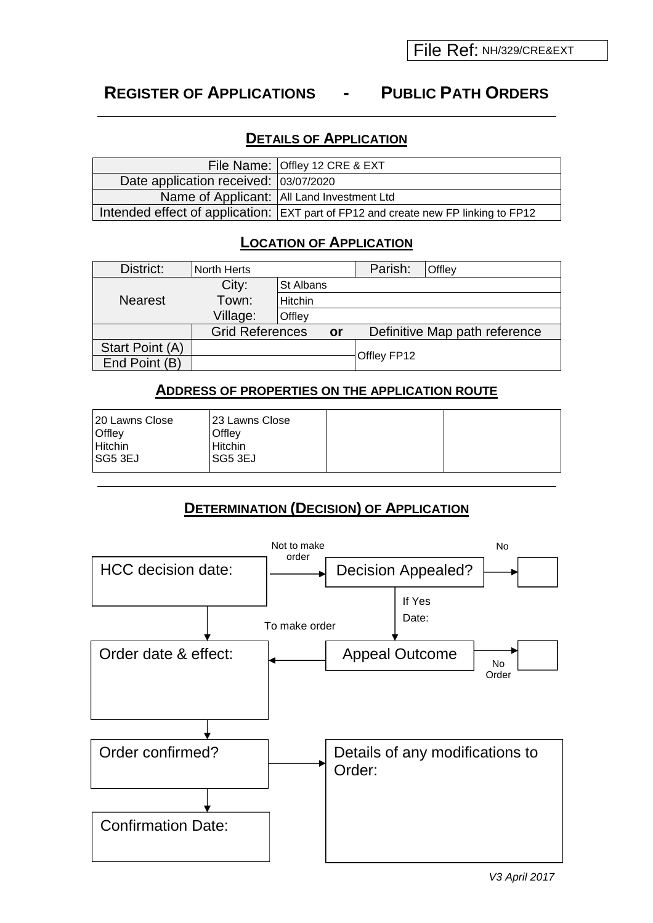## **REGISTER OF APPLICATIONS - PUBLIC PATH ORDERS**

## **DETAILS OF APPLICATION**

|                                       | File Name: Offley 12 CRE & EXT                                                               |
|---------------------------------------|----------------------------------------------------------------------------------------------|
| Date application received: 03/07/2020 |                                                                                              |
|                                       | Name of Applicant:   All Land Investment Ltd                                                 |
|                                       | Intended effect of application: $ \text{EXT}$ part of FP12 and create new FP linking to FP12 |

## **LOCATION OF APPLICATION**

| District:       | North Herts            |           |    | Parish:     | Offley                        |
|-----------------|------------------------|-----------|----|-------------|-------------------------------|
|                 | City:                  | St Albans |    |             |                               |
| <b>Nearest</b>  | Town:                  | Hitchin   |    |             |                               |
|                 | Village:               | Offley    |    |             |                               |
|                 | <b>Grid References</b> |           | or |             | Definitive Map path reference |
| Start Point (A) |                        |           |    |             |                               |
| End Point (B)   |                        |           |    | Offley FP12 |                               |

### **ADDRESS OF PROPERTIES ON THE APPLICATION ROUTE**

| 120 Lawns Close<br><b>Offley</b><br><b>Hitchin</b><br> SG5 3EJ | 123 Lawns Close<br><b>Offlev</b><br>Hitchin<br><b>ISG5 3EJ</b> |  |  |
|----------------------------------------------------------------|----------------------------------------------------------------|--|--|
|----------------------------------------------------------------|----------------------------------------------------------------|--|--|

## **DETERMINATION (DECISION) OF APPLICATION**

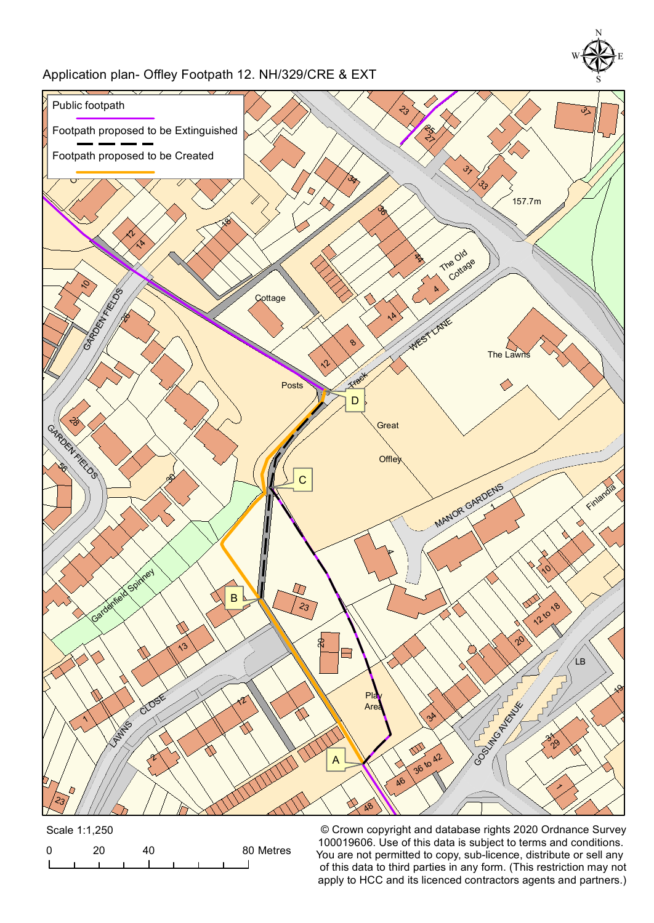## Application plan- Offley Footpath 12. NH/329/CRE & EXT



|  | Scale 1:1,250 |  |  |           |
|--|---------------|--|--|-----------|
|  |               |  |  | 80 Metres |
|  |               |  |  |           |

© Crown copyright and database rights 2020 Ordnance Survey 100019606. Use of this data is subject to terms and conditions. You are not permitted to copy, sub-licence, distribute or sell any of this data to third parties in any form. (This restriction may not apply to HCC and its licenced contractors agents and partners.)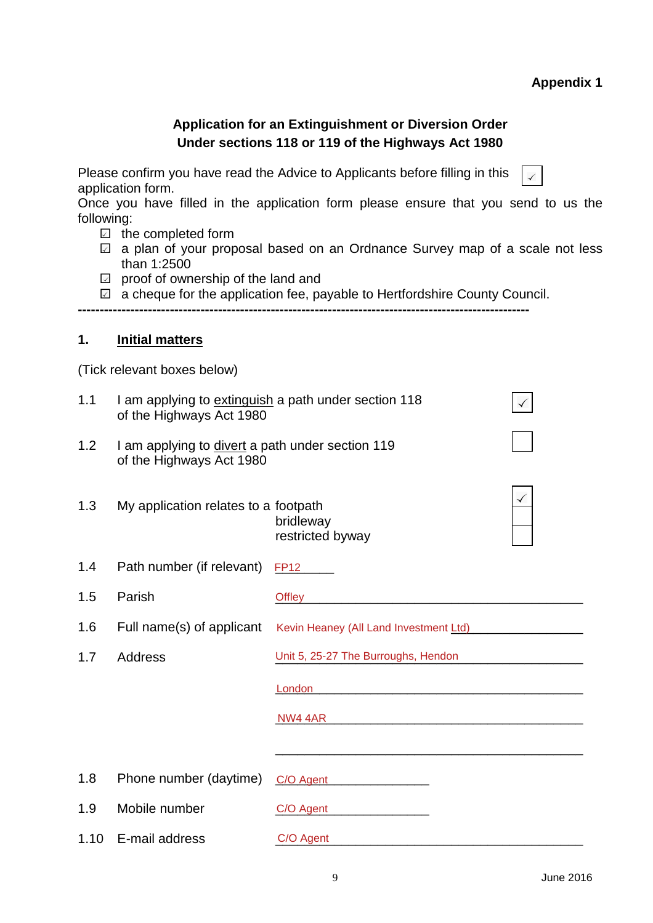# **Appendix 1**

|                                                                                                                                                                                                                                                                                                                                                                                                                                                                                                    |                                                                                                  | <b>Application for an Extinguishment or Diversion Order</b><br>Under sections 118 or 119 of the Highways Act 1980 |  |  |  |
|----------------------------------------------------------------------------------------------------------------------------------------------------------------------------------------------------------------------------------------------------------------------------------------------------------------------------------------------------------------------------------------------------------------------------------------------------------------------------------------------------|--------------------------------------------------------------------------------------------------|-------------------------------------------------------------------------------------------------------------------|--|--|--|
| Please confirm you have read the Advice to Applicants before filling in this<br>application form.<br>Once you have filled in the application form please ensure that you send to us the<br>following:<br>$\Box$ the completed form<br>a plan of your proposal based on an Ordnance Survey map of a scale not less<br>$\checkmark$<br>than 1:2500<br>proof of ownership of the land and<br>$\sqrt{2}$<br>a cheque for the application fee, payable to Hertfordshire County Council.<br>$\checkmark$ |                                                                                                  |                                                                                                                   |  |  |  |
| 1.                                                                                                                                                                                                                                                                                                                                                                                                                                                                                                 | <b>Initial matters</b>                                                                           |                                                                                                                   |  |  |  |
|                                                                                                                                                                                                                                                                                                                                                                                                                                                                                                    | (Tick relevant boxes below)                                                                      |                                                                                                                   |  |  |  |
| 1.1                                                                                                                                                                                                                                                                                                                                                                                                                                                                                                | I am applying to extinguish a path under section 118<br>$\checkmark$<br>of the Highways Act 1980 |                                                                                                                   |  |  |  |
| 1.2                                                                                                                                                                                                                                                                                                                                                                                                                                                                                                | I am applying to divert a path under section 119<br>of the Highways Act 1980                     |                                                                                                                   |  |  |  |
| 1.3                                                                                                                                                                                                                                                                                                                                                                                                                                                                                                | My application relates to a footpath<br>bridleway<br>restricted byway                            |                                                                                                                   |  |  |  |
| 1.4                                                                                                                                                                                                                                                                                                                                                                                                                                                                                                | Path number (if relevant)                                                                        | <b>FP12</b>                                                                                                       |  |  |  |
| 1.5                                                                                                                                                                                                                                                                                                                                                                                                                                                                                                | Parish                                                                                           | <b>Offley</b>                                                                                                     |  |  |  |
| 1.6                                                                                                                                                                                                                                                                                                                                                                                                                                                                                                | Full name(s) of applicant                                                                        | Kevin Heaney (All Land Investment Ltd)                                                                            |  |  |  |
| 1.7                                                                                                                                                                                                                                                                                                                                                                                                                                                                                                | Address                                                                                          | Unit 5, 25-27 The Burroughs, Hendon                                                                               |  |  |  |
|                                                                                                                                                                                                                                                                                                                                                                                                                                                                                                    |                                                                                                  |                                                                                                                   |  |  |  |
|                                                                                                                                                                                                                                                                                                                                                                                                                                                                                                    |                                                                                                  |                                                                                                                   |  |  |  |
|                                                                                                                                                                                                                                                                                                                                                                                                                                                                                                    |                                                                                                  |                                                                                                                   |  |  |  |
| 1.8                                                                                                                                                                                                                                                                                                                                                                                                                                                                                                | Phone number (daytime)                                                                           | C/O Agent                                                                                                         |  |  |  |
| 1.9                                                                                                                                                                                                                                                                                                                                                                                                                                                                                                | Mobile number                                                                                    | C/O Agent                                                                                                         |  |  |  |
| 1.10                                                                                                                                                                                                                                                                                                                                                                                                                                                                                               | E-mail address                                                                                   | C/O Agent                                                                                                         |  |  |  |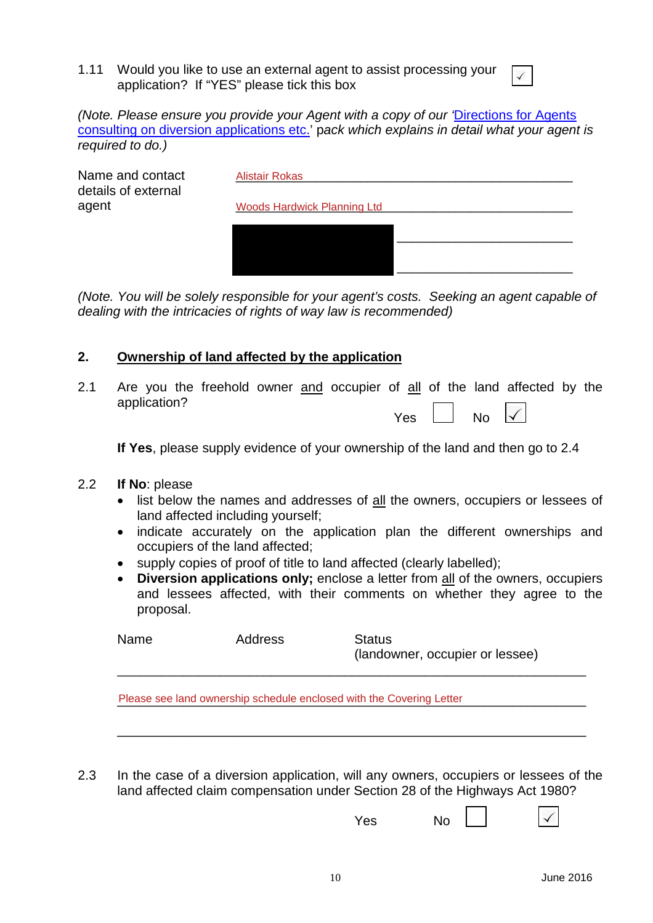1.11 Would you like to use an external agent to assist processing your application? If "YES" please tick this box

*(Note. Please ensure you provide your Agent with a copy of our '*[Directions for Agents](http://www.hertfordshire.gov.uk/docs/pdf/d/AgentDIVPack.pdf) [consulting on diversion applications etc.](http://www.hertfordshire.gov.uk/docs/pdf/d/AgentDIVPack.pdf)' p*ack which explains in detail what your agent is required to do.)*

| Name and contact<br>details of external | Alistair Rokas                     |
|-----------------------------------------|------------------------------------|
| agent                                   | <b>Woods Hardwick Planning Ltd</b> |
|                                         |                                    |
|                                         |                                    |
|                                         |                                    |
|                                         |                                    |

*(Note. You will be solely responsible for your agent's costs. Seeking an agent capable of dealing with the intricacies of rights of way law is recommended)*

### **2. Ownership of land affected by the application**

2.1 Are you the freehold owner and occupier of all of the land affected by the application?  $\Box$ 

 $\overline{\phantom{a}}$ 

**If Yes**, please supply evidence of your ownership of the land and then go to 2.4

- 2.2 **If No**: please
	- list below the names and addresses of all the owners, occupiers or lessees of land affected including yourself;
	- indicate accurately on the application plan the different ownerships and occupiers of the land affected;
	- supply copies of proof of title to land affected (clearly labelled);
	- **Diversion applications only;** enclose a letter from all of the owners, occupiers and lessees affected, with their comments on whether they agree to the proposal.

| Name | Address | <b>Status</b><br>(landowner, occupier or lessee) |
|------|---------|--------------------------------------------------|
|      |         |                                                  |

Please see land ownership schedule enclosed with the Covering Letter **Communist Container and Covering Letter** 

2.3 In the case of a diversion application, will any owners, occupiers or lessees of the land affected claim compensation under Section 28 of the Highways Act 1980?

\_\_\_\_\_\_\_\_\_\_\_\_\_\_\_\_\_\_\_\_\_\_\_\_\_\_\_\_\_\_\_\_\_\_\_\_\_\_\_\_\_\_\_\_\_\_\_\_\_\_\_\_\_\_\_\_\_\_\_\_\_\_\_\_

Yes No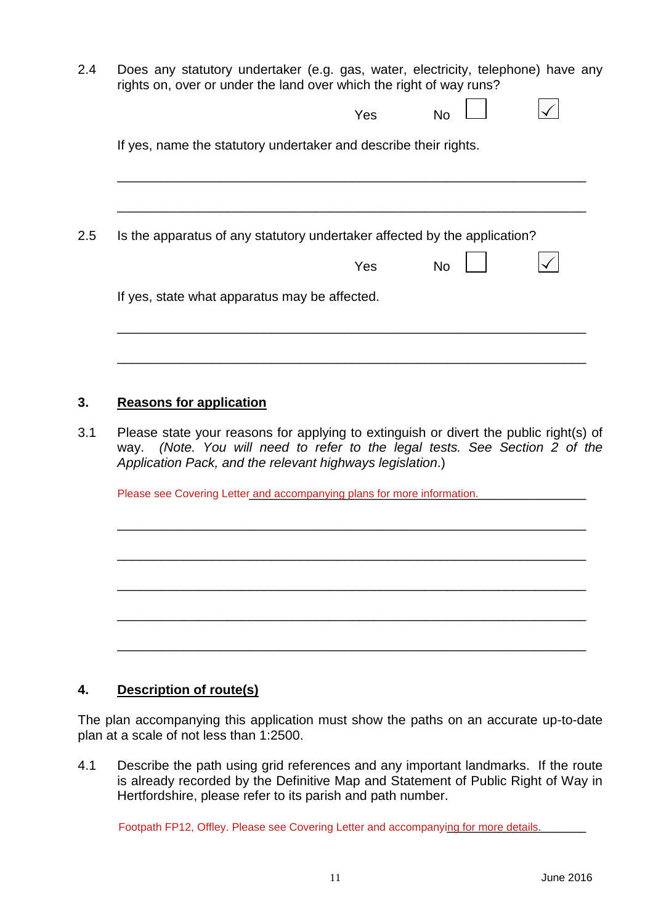2.4 Does any statutory undertaker (e.g. gas, water, electricity, telephone) have any rights on, over or under the land over which the right of way runs?

| Is the apparatus of any statutory undertaker affected by the application? |     |           |  |
|---------------------------------------------------------------------------|-----|-----------|--|
|                                                                           | Yes | <b>No</b> |  |
| If yes, state what apparatus may be affected.                             |     |           |  |
|                                                                           |     |           |  |
|                                                                           |     |           |  |
| <b>Reasons for application</b>                                            |     |           |  |

Please see Covering Letter and accompanying plans for more information.

### **4. Description of route(s)**

The plan accompanying this application must show the paths on an accurate up-to-date plan at a scale of not less than 1:2500.

\_\_\_\_\_\_\_\_\_\_\_\_\_\_\_\_\_\_\_\_\_\_\_\_\_\_\_\_\_\_\_\_\_\_\_\_\_\_\_\_\_\_\_\_\_\_\_\_\_\_\_\_\_\_\_\_\_\_\_\_\_\_\_\_

\_\_\_\_\_\_\_\_\_\_\_\_\_\_\_\_\_\_\_\_\_\_\_\_\_\_\_\_\_\_\_\_\_\_\_\_\_\_\_\_\_\_\_\_\_\_\_\_\_\_\_\_\_\_\_\_\_\_\_\_\_\_\_\_

\_\_\_\_\_\_\_\_\_\_\_\_\_\_\_\_\_\_\_\_\_\_\_\_\_\_\_\_\_\_\_\_\_\_\_\_\_\_\_\_\_\_\_\_\_\_\_\_\_\_\_\_\_\_\_\_\_\_\_\_\_\_\_\_

\_\_\_\_\_\_\_\_\_\_\_\_\_\_\_\_\_\_\_\_\_\_\_\_\_\_\_\_\_\_\_\_\_\_\_\_\_\_\_\_\_\_\_\_\_\_\_\_\_\_\_\_\_\_\_\_\_\_\_\_\_\_\_\_

\_\_\_\_\_\_\_\_\_\_\_\_\_\_\_\_\_\_\_\_\_\_\_\_\_\_\_\_\_\_\_\_\_\_\_\_\_\_\_\_\_\_\_\_\_\_\_\_\_\_\_\_\_\_\_\_\_\_\_\_\_\_\_\_

4.1 Describe the path using grid references and any important landmarks. If the route is already recorded by the Definitive Map and Statement of Public Right of Way in Hertfordshire, please refer to its parish and path number.

Footpath FP12, Offley. Please see Covering Letter and accompanying for more details.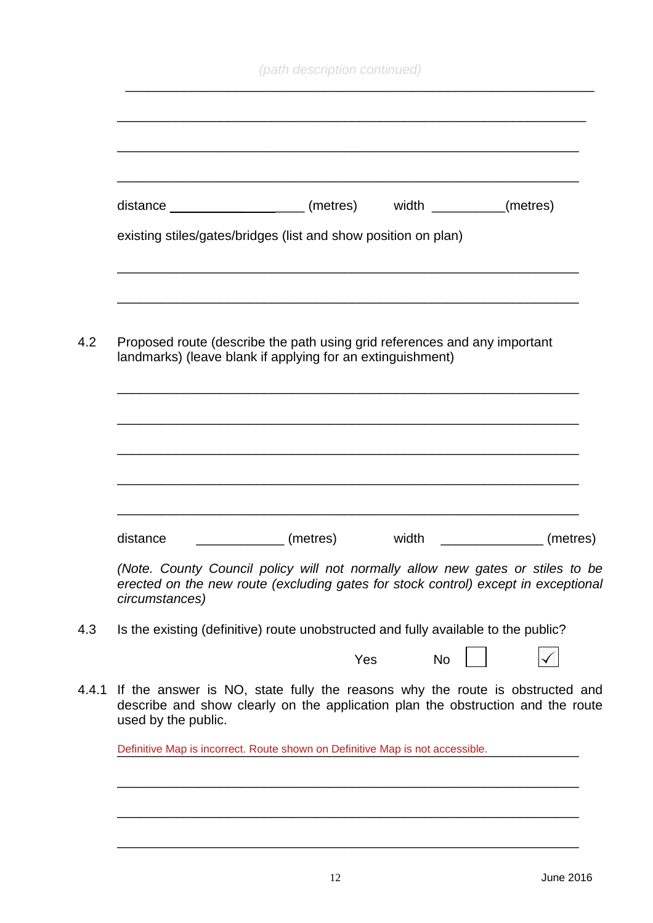|                     | distance _______________________(metres) width __________(metres)<br>existing stiles/gates/bridges (list and show position on plan)                                  |                  |          |
|---------------------|----------------------------------------------------------------------------------------------------------------------------------------------------------------------|------------------|----------|
|                     |                                                                                                                                                                      |                  |          |
|                     | Proposed route (describe the path using grid references and any important<br>landmarks) (leave blank if applying for an extinguishment)                              |                  |          |
|                     |                                                                                                                                                                      |                  |          |
|                     |                                                                                                                                                                      |                  |          |
| distance            | (metres)                                                                                                                                                             | width            | (metres) |
| circumstances)      | (Note. County Council policy will not normally allow new gates or stiles to be<br>erected on the new route (excluding gates for stock control) except in exceptional |                  |          |
|                     | Is the existing (definitive) route unobstructed and fully available to the public?                                                                                   |                  |          |
|                     |                                                                                                                                                                      | <b>No</b><br>Yes |          |
|                     | If the answer is NO, state fully the reasons why the route is obstructed and<br>describe and show clearly on the application plan the obstruction and the route      |                  |          |
| used by the public. |                                                                                                                                                                      |                  |          |

\_\_\_\_\_\_\_\_\_\_\_\_\_\_\_\_\_\_\_\_\_\_\_\_\_\_\_\_\_\_\_\_\_\_\_\_\_\_\_\_\_\_\_\_\_\_\_\_\_\_\_\_\_\_\_\_\_\_\_\_\_\_\_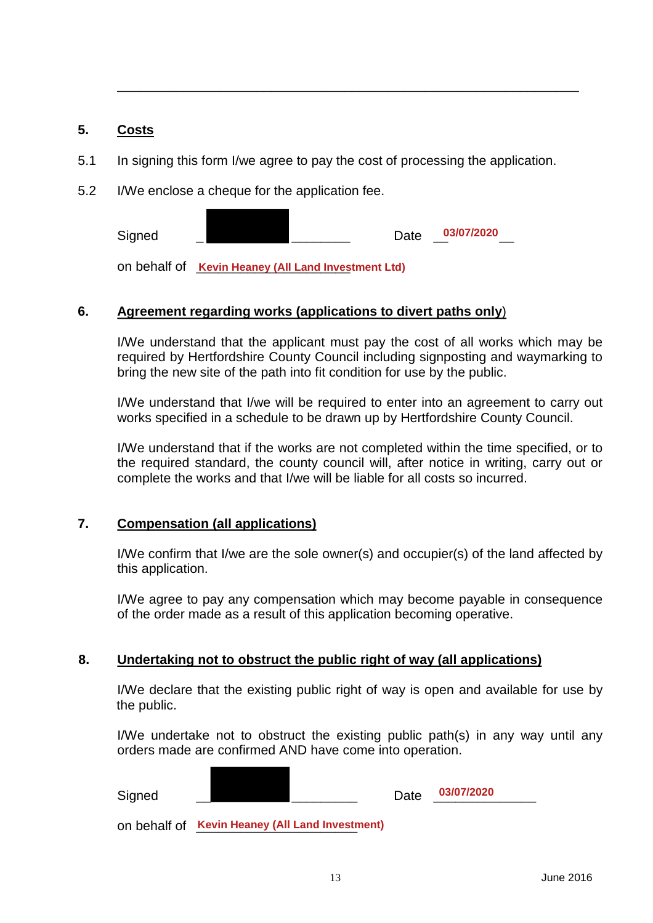#### **5. Costs**

5.1 In signing this form I/we agree to pay the cost of processing the application.

\_\_\_\_\_\_\_\_\_\_\_\_\_\_\_\_\_\_\_\_\_\_\_\_\_\_\_\_\_\_\_\_\_\_\_\_\_\_\_\_\_\_\_\_\_\_\_\_\_\_\_\_\_\_\_\_\_\_\_\_\_\_\_

5.2 I/We enclose a cheque for the application fee.

Signed \_ \_\_\_\_\_\_\_\_\_\_\_\_\_\_\_\_\_\_\_\_\_\_\_\_\_\_ Date \_\_<sup>03/07/2020</sup>\_\_\_ **03/07/2020**

on behalf of **Kevin Heaney (All Land Investment Ltd)** 

### **6. Agreement regarding works (applications to divert paths only**)

I/We understand that the applicant must pay the cost of all works which may be required by Hertfordshire County Council including signposting and waymarking to bring the new site of the path into fit condition for use by the public.

I/We understand that I/we will be required to enter into an agreement to carry out works specified in a schedule to be drawn up by Hertfordshire County Council.

I/We understand that if the works are not completed within the time specified, or to the required standard, the county council will, after notice in writing, carry out or complete the works and that I/we will be liable for all costs so incurred.

### **7. Compensation (all applications)**

I/We confirm that I/we are the sole owner(s) and occupier(s) of the land affected by this application.

I/We agree to pay any compensation which may become payable in consequence of the order made as a result of this application becoming operative.

### **8. Undertaking not to obstruct the public right of way (all applications)**

I/We declare that the existing public right of way is open and available for use by the public.

I/We undertake not to obstruct the existing public path(s) in any way until any orders made are confirmed AND have come into operation.

| Signed |                                                 | Date | 03/07/2020 |
|--------|-------------------------------------------------|------|------------|
|        | on behalf of Kevin Heaney (All Land Investment) |      |            |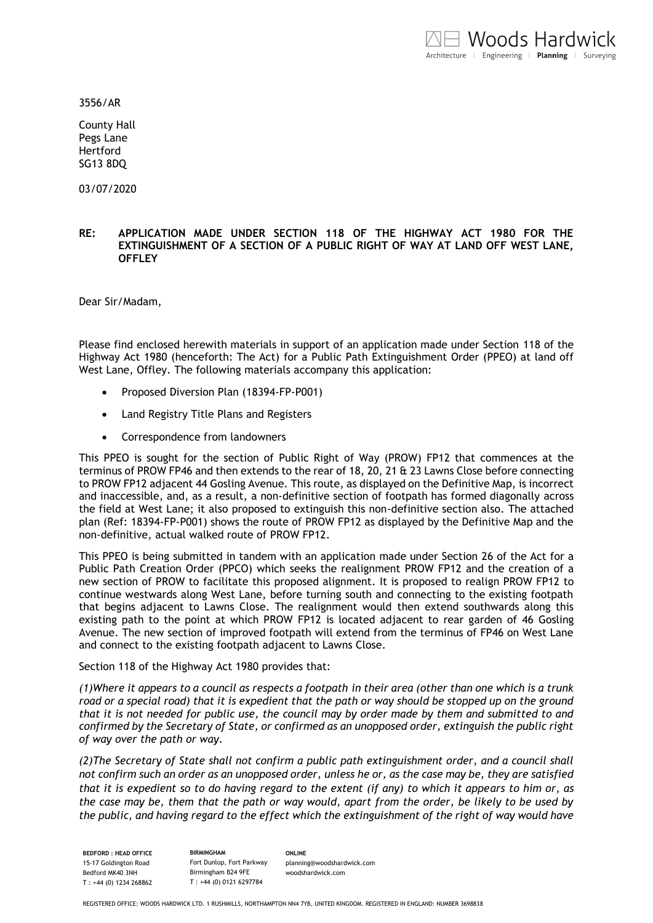3556/AR

County Hall Pegs Lane Hertford SG13 8DQ

03/07/2020

#### **RE: APPLICATION MADE UNDER SECTION 118 OF THE HIGHWAY ACT 1980 FOR THE EXTINGUISHMENT OF A SECTION OF A PUBLIC RIGHT OF WAY AT LAND OFF WEST LANE, OFFLEY**

Dear Sir/Madam,

Please find enclosed herewith materials in support of an application made under Section 118 of the Highway Act 1980 (henceforth: The Act) for a Public Path Extinguishment Order (PPEO) at land off West Lane, Offley. The following materials accompany this application:

- Proposed Diversion Plan (18394-FP-P001)
- Land Registry Title Plans and Registers
- Correspondence from landowners

This PPEO is sought for the section of Public Right of Way (PROW) FP12 that commences at the terminus of PROW FP46 and then extends to the rear of 18, 20, 21 & 23 Lawns Close before connecting to PROW FP12 adjacent 44 Gosling Avenue. This route, as displayed on the Definitive Map, is incorrect and inaccessible, and, as a result, a non-definitive section of footpath has formed diagonally across the field at West Lane; it also proposed to extinguish this non-definitive section also. The attached plan (Ref: 18394-FP-P001) shows the route of PROW FP12 as displayed by the Definitive Map and the non-definitive, actual walked route of PROW FP12.

This PPEO is being submitted in tandem with an application made under Section 26 of the Act for a Public Path Creation Order (PPCO) which seeks the realignment PROW FP12 and the creation of a new section of PROW to facilitate this proposed alignment. It is proposed to realign PROW FP12 to continue westwards along West Lane, before turning south and connecting to the existing footpath that begins adjacent to Lawns Close. The realignment would then extend southwards along this existing path to the point at which PROW FP12 is located adjacent to rear garden of 46 Gosling Avenue. The new section of improved footpath will extend from the terminus of FP46 on West Lane and connect to the existing footpath adjacent to Lawns Close.

Section 118 of the Highway Act 1980 provides that:

*(1)Where it appears to a council as respects a footpath in their area (other than one which is a trunk road or a special road) that it is expedient that the path or way should be stopped up on the ground that it is not needed for public use, the council may by order made by them and submitted to and confirmed by the Secretary of State, or confirmed as an unopposed order, extinguish the public right of way over the path or way.*

*(2)The Secretary of State shall not confirm a public path extinguishment order, and a council shall not confirm such an order as an unopposed order, unless he or, as the case may be, they are satisfied that it is expedient so to do having regard to the extent (if any) to which it appears to him or, as the case may be, them that the path or way would, apart from the order, be likely to be used by the public, and having regard to the effect which the extinguishment of the right of way would have* 

**BEDFORD : HEAD OFFICE** 15-17 Goldington Road Bedford MK40 3NH T : +44 (0) 1234 268862

**BIRMINGHAM** Fort Dunlop, Fort Parkway Birmingham B24 9FE T : +44 (0) 0121 6297784

**ONLINE** [planning@woodshardwick.com](mailto:planning@woodshardwick.com) woodshardwick.com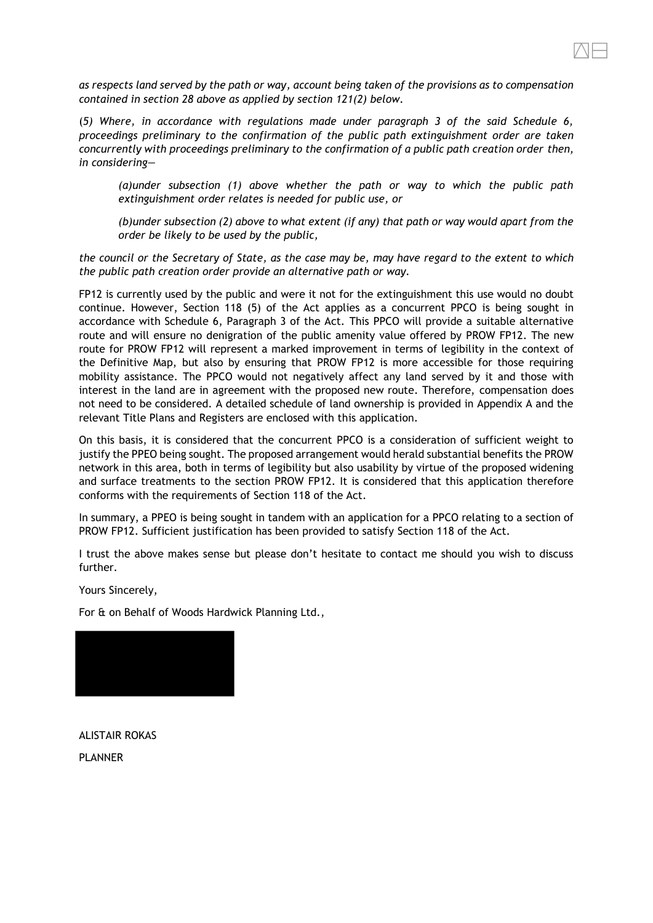*as respects land served by the path or way, account being taken of the provisions as to compensation contained in section 28 above as applied by section 121(2) below.*

(*5) Where, in accordance with regulations made under paragraph 3 of the said Schedule 6, proceedings preliminary to the confirmation of the public path extinguishment order are taken concurrently with proceedings preliminary to the confirmation of a public path creation order then, in considering—*

*(a)under subsection (1) above whether the path or way to which the public path extinguishment order relates is needed for public use, or*

*(b)under subsection (2) above to what extent (if any) that path or way would apart from the order be likely to be used by the public,*

*the council or the Secretary of State, as the case may be, may have regard to the extent to which the public path creation order provide an alternative path or way.*

FP12 is currently used by the public and were it not for the extinguishment this use would no doubt continue. However, Section 118 (5) of the Act applies as a concurrent PPCO is being sought in accordance with Schedule 6, Paragraph 3 of the Act. This PPCO will provide a suitable alternative route and will ensure no denigration of the public amenity value offered by PROW FP12. The new route for PROW FP12 will represent a marked improvement in terms of legibility in the context of the Definitive Map, but also by ensuring that PROW FP12 is more accessible for those requiring mobility assistance. The PPCO would not negatively affect any land served by it and those with interest in the land are in agreement with the proposed new route. Therefore, compensation does not need to be considered. A detailed schedule of land ownership is provided in Appendix A and the relevant Title Plans and Registers are enclosed with this application.

On this basis, it is considered that the concurrent PPCO is a consideration of sufficient weight to justify the PPEO being sought. The proposed arrangement would herald substantial benefits the PROW network in this area, both in terms of legibility but also usability by virtue of the proposed widening and surface treatments to the section PROW FP12. It is considered that this application therefore conforms with the requirements of Section 118 of the Act.

In summary, a PPEO is being sought in tandem with an application for a PPCO relating to a section of PROW FP12. Sufficient justification has been provided to satisfy Section 118 of the Act.

I trust the above makes sense but please don't hesitate to contact me should you wish to discuss further.

Yours Sincerely,

For & on Behalf of Woods Hardwick Planning Ltd.,

ALISTAIR ROKAS PLANNER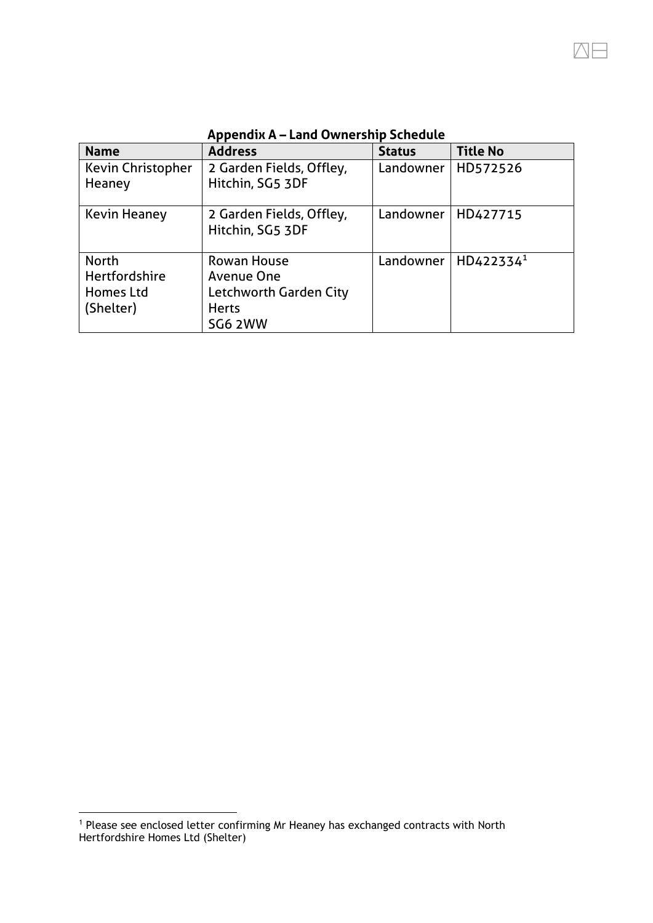| <b>Name</b>                                                    | <b>Address</b>                                                                 | <b>Status</b> | <b>Title No</b>       |
|----------------------------------------------------------------|--------------------------------------------------------------------------------|---------------|-----------------------|
| <b>Kevin Christopher</b><br>Heaney                             | 2 Garden Fields, Offley,<br>Hitchin, SG5 3DF                                   | Landowner     | HD572526              |
| <b>Kevin Heaney</b>                                            | 2 Garden Fields, Offley,<br>Hitchin, SG5 3DF                                   | Landowner     | HD427715              |
| <b>North</b><br><b>Hertfordshire</b><br>Homes Ltd<br>(Shelter) | Rowan House<br>Avenue One<br>Letchworth Garden City<br><b>Herts</b><br>SG6 2WW | Landowner     | HD422334 <sup>1</sup> |

**Appendix A – Land Ownership Schedule**

<sup>1</sup> Please see enclosed letter confirming Mr Heaney has exchanged contracts with North Hertfordshire Homes Ltd (Shelter)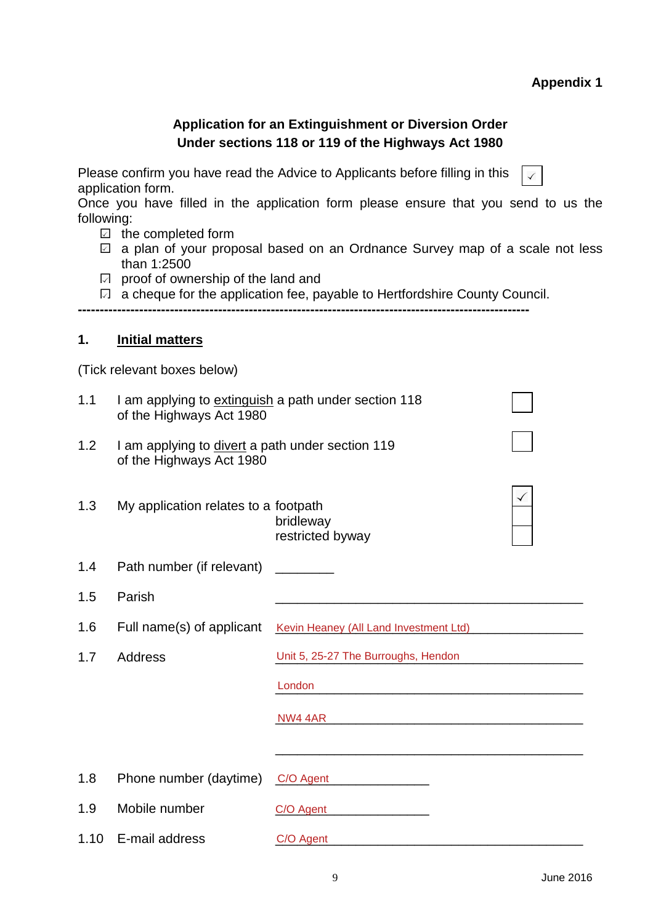# **Appendix 1**

| <b>Application for an Extinguishment or Diversion Order</b><br>Under sections 118 or 119 of the Highways Act 1980                                                                                                                                                                                                                                                                                                                                                                            |                                                                                  |                                                                                                                                 |  |  |
|----------------------------------------------------------------------------------------------------------------------------------------------------------------------------------------------------------------------------------------------------------------------------------------------------------------------------------------------------------------------------------------------------------------------------------------------------------------------------------------------|----------------------------------------------------------------------------------|---------------------------------------------------------------------------------------------------------------------------------|--|--|
| Please confirm you have read the Advice to Applicants before filling in this<br>application form.<br>Once you have filled in the application form please ensure that you send to us the<br>following:<br>$\boxdot$ the completed form<br>a plan of your proposal based on an Ordnance Survey map of a scale not less<br>$\checkmark$<br>than 1:2500<br>proof of ownership of the land and<br>$\sqrt{ }$<br>$\Box$ a cheque for the application fee, payable to Hertfordshire County Council. |                                                                                  |                                                                                                                                 |  |  |
| 1.                                                                                                                                                                                                                                                                                                                                                                                                                                                                                           | <b>Initial matters</b>                                                           |                                                                                                                                 |  |  |
|                                                                                                                                                                                                                                                                                                                                                                                                                                                                                              | (Tick relevant boxes below)                                                      |                                                                                                                                 |  |  |
| 1.1                                                                                                                                                                                                                                                                                                                                                                                                                                                                                          | I am applying to extinguish a path under section 118<br>of the Highways Act 1980 |                                                                                                                                 |  |  |
| 1.2                                                                                                                                                                                                                                                                                                                                                                                                                                                                                          | I am applying to divert a path under section 119<br>of the Highways Act 1980     |                                                                                                                                 |  |  |
| 1.3                                                                                                                                                                                                                                                                                                                                                                                                                                                                                          | My application relates to a footpath                                             | bridleway<br>restricted byway                                                                                                   |  |  |
| 1.4                                                                                                                                                                                                                                                                                                                                                                                                                                                                                          | Path number (if relevant)                                                        |                                                                                                                                 |  |  |
| 1.5                                                                                                                                                                                                                                                                                                                                                                                                                                                                                          | Parish                                                                           |                                                                                                                                 |  |  |
| 1.6                                                                                                                                                                                                                                                                                                                                                                                                                                                                                          |                                                                                  | Full name(s) of applicant Kevin Heaney (All Land Investment Ltd)                                                                |  |  |
| 1.7                                                                                                                                                                                                                                                                                                                                                                                                                                                                                          | <b>Address</b>                                                                   | Unit 5, 25-27 The Burroughs, Hendon                                                                                             |  |  |
|                                                                                                                                                                                                                                                                                                                                                                                                                                                                                              |                                                                                  | London                                                                                                                          |  |  |
|                                                                                                                                                                                                                                                                                                                                                                                                                                                                                              |                                                                                  | NW4 4AR<br><u> 1989 - Johann John Stone, markin fan it ferstjer fan de ferstjer fan it ferstjer fan it ferstjer fan it fers</u> |  |  |
|                                                                                                                                                                                                                                                                                                                                                                                                                                                                                              |                                                                                  |                                                                                                                                 |  |  |
| 1.8                                                                                                                                                                                                                                                                                                                                                                                                                                                                                          | Phone number (daytime)                                                           | C/O Agent                                                                                                                       |  |  |
| 1.9                                                                                                                                                                                                                                                                                                                                                                                                                                                                                          | Mobile number                                                                    | C/O Agent                                                                                                                       |  |  |
| 1.10                                                                                                                                                                                                                                                                                                                                                                                                                                                                                         | E-mail address                                                                   | C/O Agent                                                                                                                       |  |  |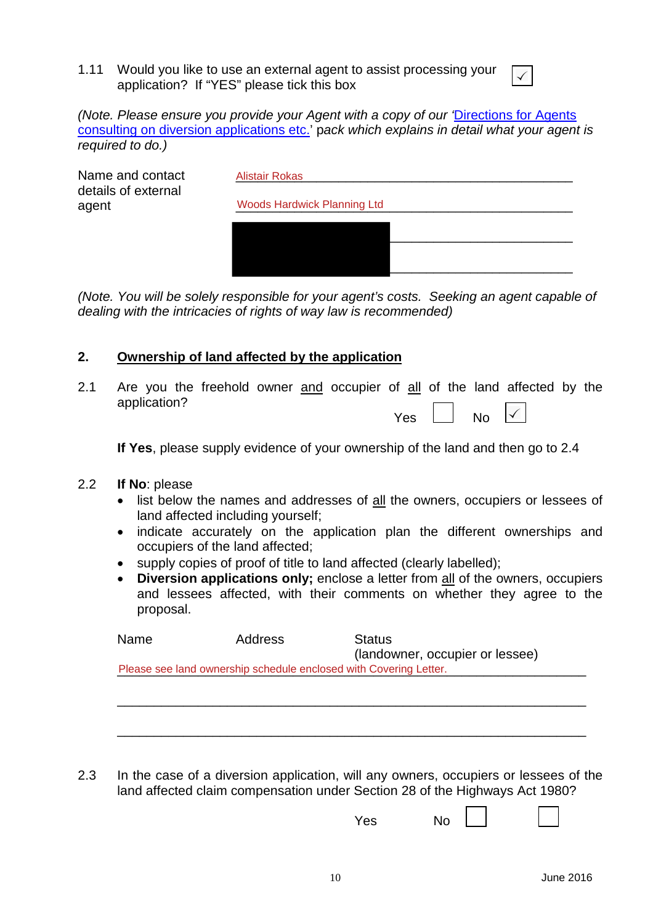1.11 Would you like to use an external agent to assist processing your application? If "YES" please tick this box

*(Note. Please ensure you provide your Agent with a copy of our '*[Directions for Agents](http://www.hertfordshire.gov.uk/docs/pdf/d/AgentDIVPack.pdf) [consulting on diversion applications etc.](http://www.hertfordshire.gov.uk/docs/pdf/d/AgentDIVPack.pdf)' p*ack which explains in detail what your agent is required to do.)*

| Name and contact<br>details of external | <b>Alistair Rokas</b>              |
|-----------------------------------------|------------------------------------|
| agent                                   | <b>Woods Hardwick Planning Ltd</b> |
|                                         |                                    |
|                                         |                                    |
|                                         |                                    |
|                                         |                                    |

*(Note. You will be solely responsible for your agent's costs. Seeking an agent capable of dealing with the intricacies of rights of way law is recommended)*

### **2. Ownership of land affected by the application**

2.1 Are you the freehold owner and occupier of all of the land affected by the application?  $\Box$ 

| ۱.<br>AS. | No |  |
|-----------|----|--|
|-----------|----|--|

**If Yes**, please supply evidence of your ownership of the land and then go to 2.4

- 2.2 **If No**: please
	- list below the names and addresses of all the owners, occupiers or lessees of land affected including yourself;
	- indicate accurately on the application plan the different ownerships and occupiers of the land affected;
	- supply copies of proof of title to land affected (clearly labelled);
	- **Diversion applications only;** enclose a letter from all of the owners, occupiers and lessees affected, with their comments on whether they agree to the proposal.

| Name | Address                                                           | <b>Status</b><br>(landowner, occupier or lessee) |  |  |  |  |
|------|-------------------------------------------------------------------|--------------------------------------------------|--|--|--|--|
|      | Please see land ownership schedule enclosed with Covering Letter. |                                                  |  |  |  |  |
|      |                                                                   |                                                  |  |  |  |  |
|      |                                                                   |                                                  |  |  |  |  |
|      |                                                                   |                                                  |  |  |  |  |
|      |                                                                   |                                                  |  |  |  |  |
|      |                                                                   |                                                  |  |  |  |  |

2.3 In the case of a diversion application, will any owners, occupiers or lessees of the land affected claim compensation under Section 28 of the Highways Act 1980?

Yes No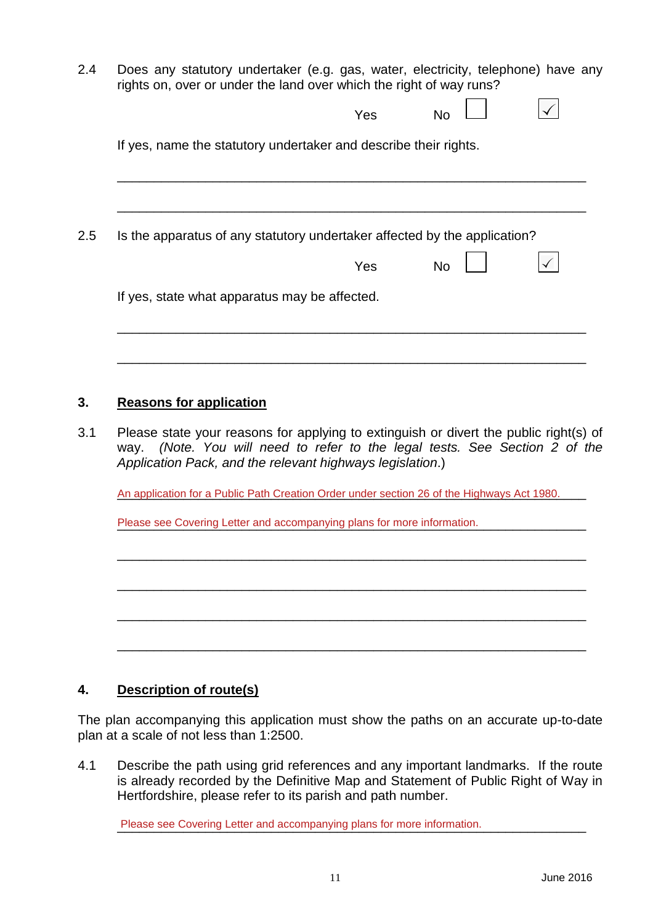2.4 Does any statutory undertaker (e.g. gas, water, electricity, telephone) have any rights on, over or under the land over which the right of way runs?

|                                                                                       | Yes | No                                                                          |  |
|---------------------------------------------------------------------------------------|-----|-----------------------------------------------------------------------------|--|
| If yes, name the statutory undertaker and describe their rights.                      |     |                                                                             |  |
|                                                                                       |     |                                                                             |  |
|                                                                                       |     |                                                                             |  |
| Is the apparatus of any statutory undertaker affected by the application?             |     |                                                                             |  |
|                                                                                       | Yes | <b>No</b>                                                                   |  |
| If yes, state what apparatus may be affected.                                         |     |                                                                             |  |
|                                                                                       |     |                                                                             |  |
|                                                                                       |     |                                                                             |  |
|                                                                                       |     |                                                                             |  |
| <b>Reasons for application</b>                                                        |     |                                                                             |  |
| Please state your reasons for applying to extinguish or divert the public right(s) of |     | way. (Note. You will need to refer to the legal tests. See Section 2 of the |  |

An application for a Public Path Creation Order under section 26 of the Highways Act 1980.

\_\_\_\_\_\_\_\_\_\_\_\_\_\_\_\_\_\_\_\_\_\_\_\_\_\_\_\_\_\_\_\_\_\_\_\_\_\_\_\_\_\_\_\_\_\_\_\_\_\_\_\_\_\_\_\_\_\_\_\_\_\_\_\_

\_\_\_\_\_\_\_\_\_\_\_\_\_\_\_\_\_\_\_\_\_\_\_\_\_\_\_\_\_\_\_\_\_\_\_\_\_\_\_\_\_\_\_\_\_\_\_\_\_\_\_\_\_\_\_\_\_\_\_\_\_\_\_\_

\_\_\_\_\_\_\_\_\_\_\_\_\_\_\_\_\_\_\_\_\_\_\_\_\_\_\_\_\_\_\_\_\_\_\_\_\_\_\_\_\_\_\_\_\_\_\_\_\_\_\_\_\_\_\_\_\_\_\_\_\_\_\_\_

\_\_\_\_\_\_\_\_\_\_\_\_\_\_\_\_\_\_\_\_\_\_\_\_\_\_\_\_\_\_\_\_\_\_\_\_\_\_\_\_\_\_\_\_\_\_\_\_\_\_\_\_\_\_\_\_\_\_\_\_\_\_\_\_

Please see Covering Letter and accompanying plans for more information.

### **4. Description of route(s)**

The plan accompanying this application must show the paths on an accurate up-to-date plan at a scale of not less than 1:2500.

4.1 Describe the path using grid references and any important landmarks. If the route is already recorded by the Definitive Map and Statement of Public Right of Way in Hertfordshire, please refer to its parish and path number.

Please see Covering Letter and accompanying plans for more information.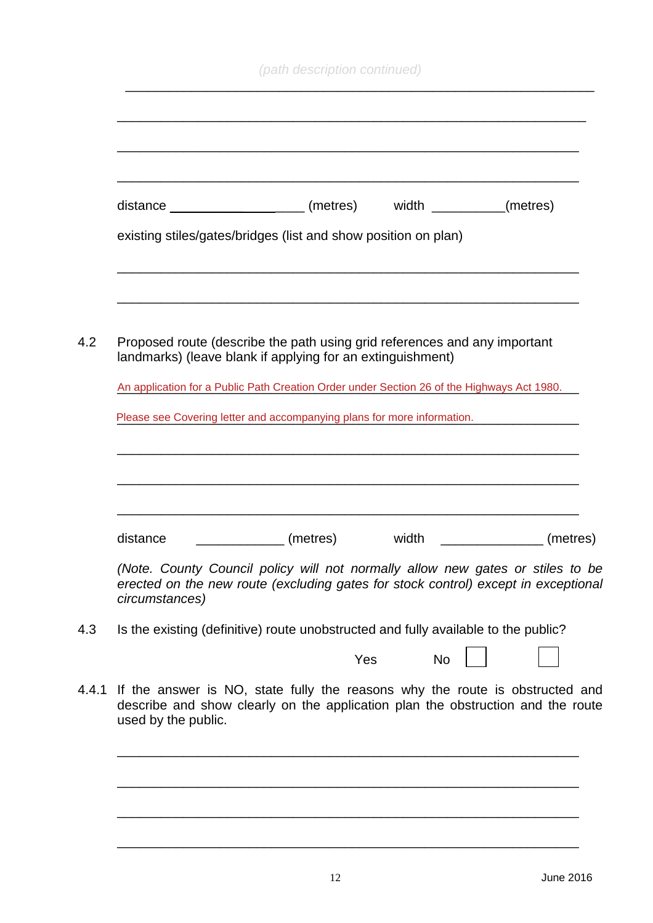| distance ______________________ (metres) width _________ (metres)                                                                                                                      |                                                                                 |       |           |          |
|----------------------------------------------------------------------------------------------------------------------------------------------------------------------------------------|---------------------------------------------------------------------------------|-------|-----------|----------|
| existing stiles/gates/bridges (list and show position on plan)                                                                                                                         |                                                                                 |       |           |          |
|                                                                                                                                                                                        |                                                                                 |       |           |          |
| Proposed route (describe the path using grid references and any important<br>landmarks) (leave blank if applying for an extinguishment)                                                |                                                                                 |       |           |          |
| An application for a Public Path Creation Order under Section 26 of the Highways Act 1980.                                                                                             |                                                                                 |       |           |          |
| Please see Covering letter and accompanying plans for more information.                                                                                                                |                                                                                 |       |           |          |
|                                                                                                                                                                                        |                                                                                 |       |           |          |
| distance                                                                                                                                                                               | (metres)                                                                        | width |           | (metres) |
| (Note. County Council policy will not normally allow new gates or stiles to be<br>erected on the new route (excluding gates for stock control) except in exceptional<br>circumstances) |                                                                                 |       |           |          |
| Is the existing (definitive) route unobstructed and fully available to the public?                                                                                                     |                                                                                 |       |           |          |
|                                                                                                                                                                                        |                                                                                 | Yes   | <b>No</b> |          |
| If the answer is NO, state fully the reasons why the route is obstructed and                                                                                                           | describe and show clearly on the application plan the obstruction and the route |       |           |          |

\_\_\_\_\_\_\_\_\_\_\_\_\_\_\_\_\_\_\_\_\_\_\_\_\_\_\_\_\_\_\_\_\_\_\_\_\_\_\_\_\_\_\_\_\_\_\_\_\_\_\_\_\_\_\_\_\_\_\_\_\_\_\_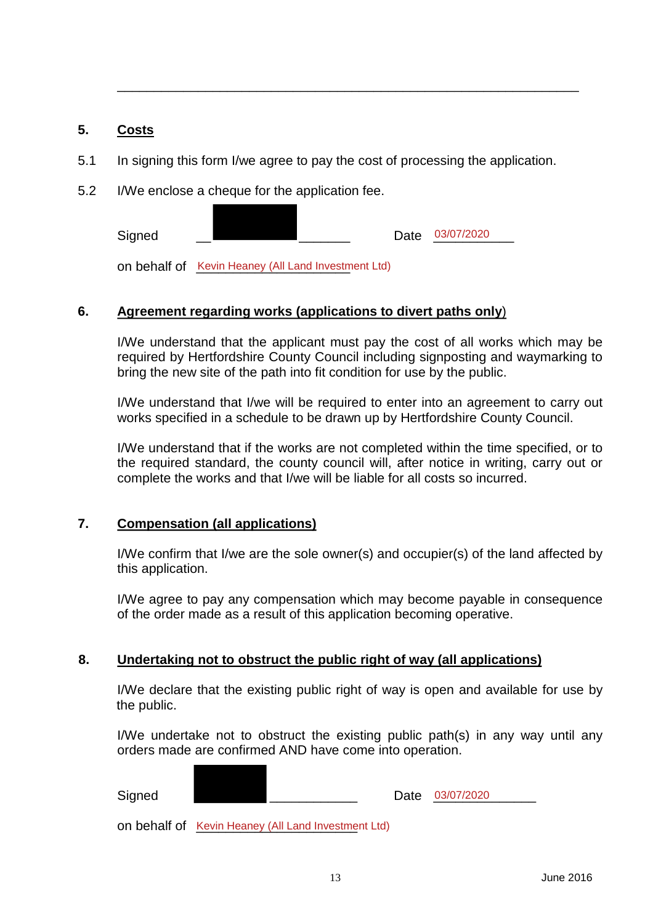#### **5. Costs**

5.1 In signing this form I/we agree to pay the cost of processing the application.

\_\_\_\_\_\_\_\_\_\_\_\_\_\_\_\_\_\_\_\_\_\_\_\_\_\_\_\_\_\_\_\_\_\_\_\_\_\_\_\_\_\_\_\_\_\_\_\_\_\_\_\_\_\_\_\_\_\_\_\_\_\_\_

5.2 I/We enclose a cheque for the application fee.

Signed \_\_\_\_\_\_\_\_\_\_\_\_\_\_\_\_\_\_\_\_\_\_\_\_\_\_\_ Date 03/07/2020

on behalf of Kevin Heaney (All Land Investment Ltd)

### **6. Agreement regarding works (applications to divert paths only**)

I/We understand that the applicant must pay the cost of all works which may be required by Hertfordshire County Council including signposting and waymarking to bring the new site of the path into fit condition for use by the public.

I/We understand that I/we will be required to enter into an agreement to carry out works specified in a schedule to be drawn up by Hertfordshire County Council.

I/We understand that if the works are not completed within the time specified, or to the required standard, the county council will, after notice in writing, carry out or complete the works and that I/we will be liable for all costs so incurred.

### **7. Compensation (all applications)**

I/We confirm that I/we are the sole owner(s) and occupier(s) of the land affected by this application.

I/We agree to pay any compensation which may become payable in consequence of the order made as a result of this application becoming operative.

### **8. Undertaking not to obstruct the public right of way (all applications)**

I/We declare that the existing public right of way is open and available for use by the public.

I/We undertake not to obstruct the existing public path(s) in any way until any orders made are confirmed AND have come into operation.

Signed \_\_\_\_\_\_\_\_\_\_\_\_\_\_\_\_\_\_\_\_\_\_\_\_\_\_\_\_\_\_\_\_ Date <u>03/07/2020</u>

on behalf of Kevin Heaney (All Land Investment Ltd)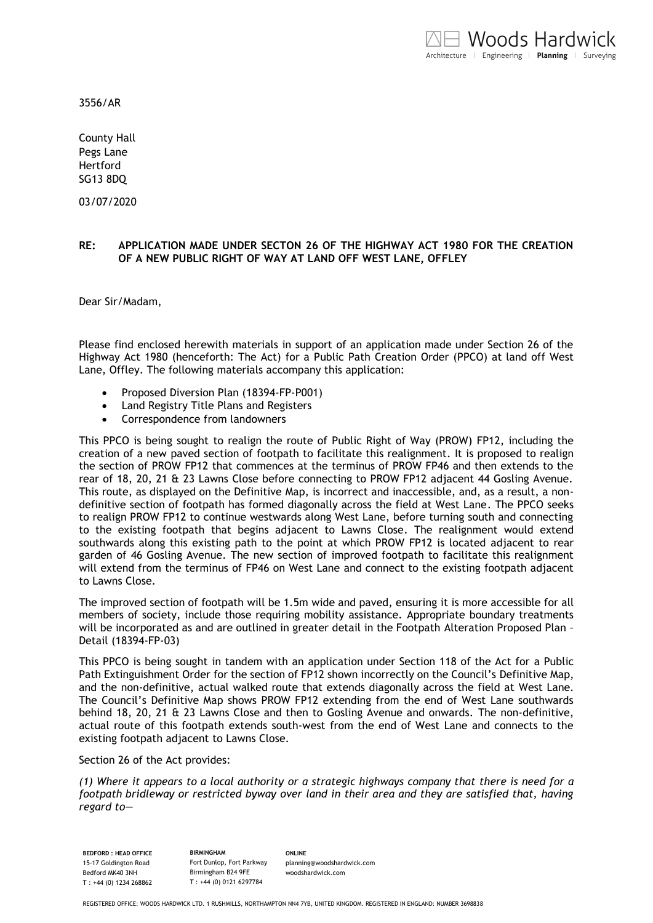3556/AR

County Hall Pegs Lane Hertford SG13 8DQ

03/07/2020

#### **RE: APPLICATION MADE UNDER SECTON 26 OF THE HIGHWAY ACT 1980 FOR THE CREATION OF A NEW PUBLIC RIGHT OF WAY AT LAND OFF WEST LANE, OFFLEY**

Dear Sir/Madam,

Please find enclosed herewith materials in support of an application made under Section 26 of the Highway Act 1980 (henceforth: The Act) for a Public Path Creation Order (PPCO) at land off West Lane, Offley. The following materials accompany this application:

- Proposed Diversion Plan (18394-FP-P001)
- Land Registry Title Plans and Registers
- Correspondence from landowners

This PPCO is being sought to realign the route of Public Right of Way (PROW) FP12, including the creation of a new paved section of footpath to facilitate this realignment. It is proposed to realign the section of PROW FP12 that commences at the terminus of PROW FP46 and then extends to the rear of 18, 20, 21 & 23 Lawns Close before connecting to PROW FP12 adjacent 44 Gosling Avenue. This route, as displayed on the Definitive Map, is incorrect and inaccessible, and, as a result, a nondefinitive section of footpath has formed diagonally across the field at West Lane. The PPCO seeks to realign PROW FP12 to continue westwards along West Lane, before turning south and connecting to the existing footpath that begins adjacent to Lawns Close. The realignment would extend southwards along this existing path to the point at which PROW FP12 is located adjacent to rear garden of 46 Gosling Avenue. The new section of improved footpath to facilitate this realignment will extend from the terminus of FP46 on West Lane and connect to the existing footpath adjacent to Lawns Close.

The improved section of footpath will be 1.5m wide and paved, ensuring it is more accessible for all members of society, include those requiring mobility assistance. Appropriate boundary treatments will be incorporated as and are outlined in greater detail in the Footpath Alteration Proposed Plan – Detail (18394-FP-03)

This PPCO is being sought in tandem with an application under Section 118 of the Act for a Public Path Extinguishment Order for the section of FP12 shown incorrectly on the Council's Definitive Map, and the non-definitive, actual walked route that extends diagonally across the field at West Lane. The Council's Definitive Map shows PROW FP12 extending from the end of West Lane southwards behind 18, 20, 21 & 23 Lawns Close and then to Gosling Avenue and onwards. The non-definitive, actual route of this footpath extends south-west from the end of West Lane and connects to the existing footpath adjacent to Lawns Close.

Section 26 of the Act provides:

*(1) Where it appears to a local authority or a strategic highways company that there is need for a footpath bridleway or restricted byway over land in their area and they are satisfied that, having regard to—*

**BEDFORD : HEAD OFFICE** 15-17 Goldington Road Bedford MK40 3NH T : +44 (0) 1234 268862

**BIRMINGHAM** Fort Dunlop, Fort Parkway Birmingham B24 9FE T : +44 (0) 0121 6297784

**ONLINE** [planning@woodshardwick.com](mailto:planning@woodshardwick.com) woodshardwick.com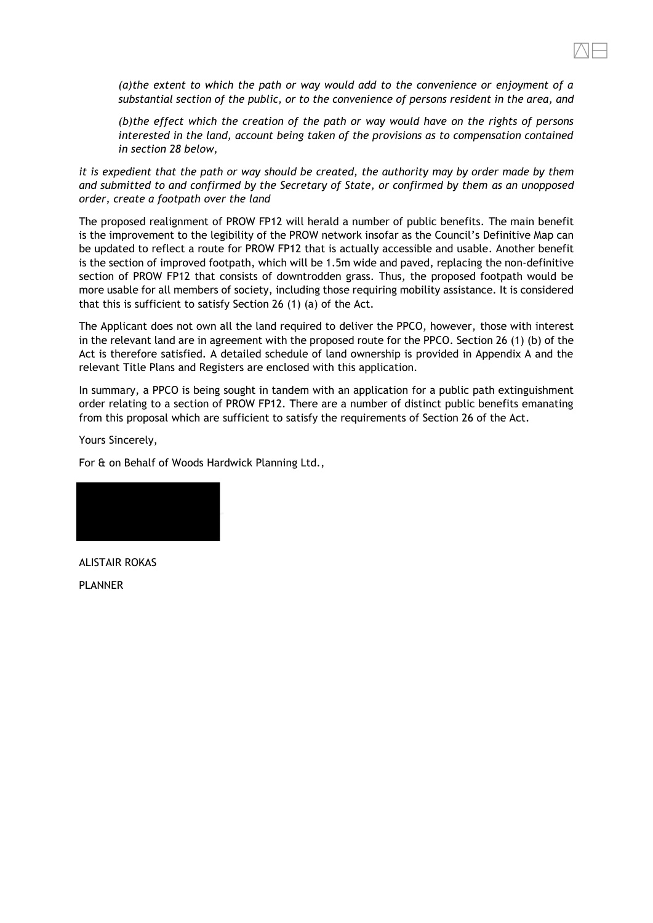*(a)the extent to which the path or way would add to the convenience or enjoyment of a substantial section of the public, or to the convenience of persons resident in the area, and*

*(b)the effect which the creation of the path or way would have on the rights of persons interested in the land, account being taken of the provisions as to compensation contained in section 28 below,*

*it is expedient that the path or way should be created, the authority may by order made by them and submitted to and confirmed by the Secretary of State, or confirmed by them as an unopposed order, create a footpath over the land*

The proposed realignment of PROW FP12 will herald a number of public benefits. The main benefit is the improvement to the legibility of the PROW network insofar as the Council's Definitive Map can be updated to reflect a route for PROW FP12 that is actually accessible and usable. Another benefit is the section of improved footpath, which will be 1.5m wide and paved, replacing the non-definitive section of PROW FP12 that consists of downtrodden grass. Thus, the proposed footpath would be more usable for all members of society, including those requiring mobility assistance. It is considered that this is sufficient to satisfy Section 26 (1) (a) of the Act.

The Applicant does not own all the land required to deliver the PPCO, however, those with interest in the relevant land are in agreement with the proposed route for the PPCO. Section 26 (1) (b) of the Act is therefore satisfied. A detailed schedule of land ownership is provided in Appendix A and the relevant Title Plans and Registers are enclosed with this application.

In summary, a PPCO is being sought in tandem with an application for a public path extinguishment order relating to a section of PROW FP12. There are a number of distinct public benefits emanating from this proposal which are sufficient to satisfy the requirements of Section 26 of the Act.

Yours Sincerely,

For & on Behalf of Woods Hardwick Planning Ltd.,



ALISTAIR ROKAS PLANNER